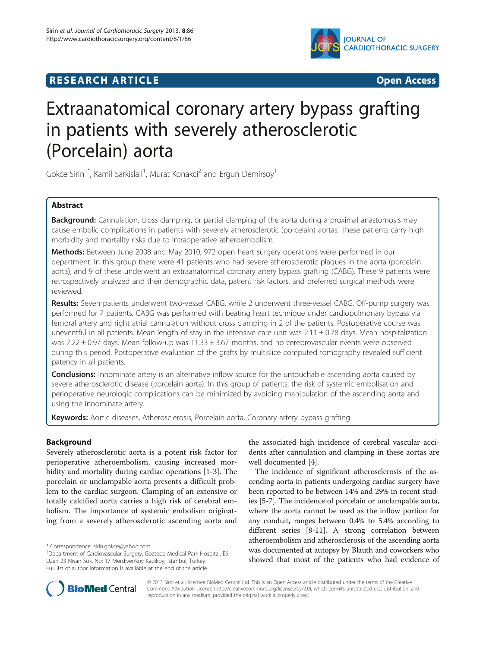

## **RESEARCH ARTICLE CONSUMING A RESEARCH ARTICLE**



# Extraanatomical coronary artery bypass grafting in patients with severely atherosclerotic (Porcelain) aorta

Gokce Sirin<sup>1\*</sup>, Kamil Sarkislali<sup>1</sup>, Murat Konakci<sup>2</sup> and Ergun Demirsoy<sup>1</sup>

## Abstract

Background: Cannulation, cross clamping, or partial clamping of the aorta during a proximal anastomosis may cause embolic complications in patients with severely atherosclerotic (porcelain) aortas. These patients carry high morbidity and mortality risks due to intraoperative atheroembolism.

Methods: Between June 2008 and May 2010, 972 open heart surgery operations were performed in our department. In this group there were 41 patients who had severe atherosclerotic plaques in the aorta (porcelain aorta), and 9 of these underwent an extraanatomical coronary artery bypass grafting (CABG). These 9 patients were retrospectively analyzed and their demographic data, patient risk factors, and preferred surgical methods were reviewed.

Results: Seven patients underwent two-vessel CABG, while 2 underwent three-vessel CABG. Off-pump surgery was performed for 7 patients. CABG was performed with beating heart technique under cardiopulmonary bypass via femoral artery and right atrial cannulation without cross clamping in 2 of the patients. Postoperative course was uneventful in all patients. Mean length of stay in the intensive care unit was  $2.11 \pm 0.78$  days. Mean hospitalization was 7.22  $\pm$  0.97 days. Mean follow-up was 11.33  $\pm$  3.67 months, and no cerebrovascular events were observed during this period. Postoperative evaluation of the grafts by multislice computed tomography revealed sufficient patency in all patients.

**Conclusions:** Innominate artery is an alternative inflow source for the untouchable ascending aorta caused by severe atherosclerotic disease (porcelain aorta). In this group of patients, the risk of systemic embolisation and perioperative neurologic complications can be minimized by avoiding manipulation of the ascending aorta and using the innominate artery.

Keywords: Aortic diseases, Atherosclerosis, Porcelain aorta, Coronary artery bypass grafting

## **Background**

Severely atherosclerotic aorta is a potent risk factor for perioperative atheroembolism, causing increased morbidity and mortality during cardiac operations [[1-3\]](#page-4-0). The porcelain or unclampable aorta presents a difficult problem to the cardiac surgeon. Clamping of an extensive or totally calcified aorta carries a high risk of cerebral embolism. The importance of systemic embolism originating from a severely atherosclerotic ascending aorta and

the associated high incidence of cerebral vascular accidents after cannulation and clamping in these aortas are well documented [[4\]](#page-4-0).

The incidence of significant atherosclerosis of the ascending aorta in patients undergoing cardiac surgery have been reported to be between 14% and 29% in recent studies [\[5-7](#page-4-0)]. The incidence of porcelain or unclampable aorta, where the aorta cannot be used as the inflow portion for any conduit, ranges between 0.4% to 5.4% according to different series [\[8-11\]](#page-4-0). A strong correlation between atheroembolism and atherosclerosis of the ascending aorta was documented at autopsy by Blauth and coworkers who showed that most of the patients who had evidence of



© 2013 Sirin et al.; licensee BioMed Central Ltd. This is an Open Access article distributed under the terms of the Creative Commons Attribution License [\(http://creativecommons.org/licenses/by/2.0\)](http://creativecommons.org/licenses/by/2.0), which permits unrestricted use, distribution, and reproduction in any medium, provided the original work is properly cited.

<sup>\*</sup> Correspondence: [sirin.gokce@yahoo.com](mailto:sirin.gokce@yahoo.com) <sup>1</sup>

<sup>&</sup>lt;sup>1</sup>Department of Cardiovascular Surgery, Goztepe Medical Park Hospital, E5 Uzeri 23 Nisan Sok. No: 17 Merdivenkoy Kadıkoy, Istanbul, Turkey Full list of author information is available at the end of the article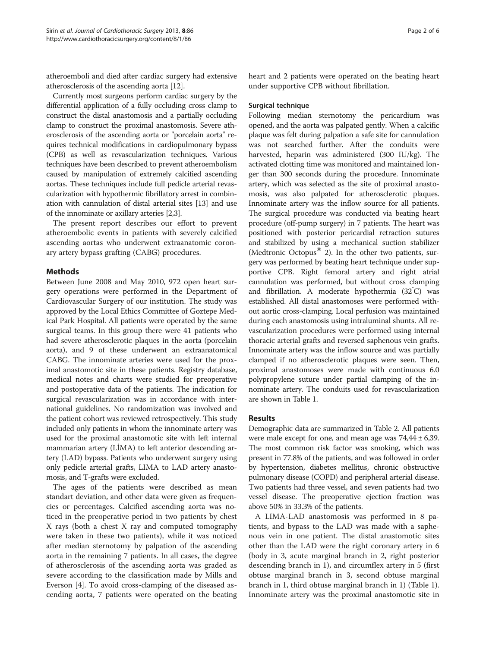atheroemboli and died after cardiac surgery had extensive atherosclerosis of the ascending aorta [[12](#page-4-0)].

Currently most surgeons perform cardiac surgery by the differential application of a fully occluding cross clamp to construct the distal anastomosis and a partially occluding clamp to construct the proximal anastomosis. Severe atherosclerosis of the ascending aorta or "porcelain aorta" requires technical modifications in cardiopulmonary bypass (CPB) as well as revascularization techniques. Various techniques have been described to prevent atheroembolism caused by manipulation of extremely calcified ascending aortas. These techniques include full pedicle arterial revascularization with hypothermic fibrillatory arrest in combination with cannulation of distal arterial sites [[13](#page-4-0)] and use of the innominate or axillary arteries [\[2,3\]](#page-4-0).

The present report describes our effort to prevent atheroembolic events in patients with severely calcified ascending aortas who underwent extraanatomic coronary artery bypass grafting (CABG) procedures.

## Methods

Between June 2008 and May 2010, 972 open heart surgery operations were performed in the Department of Cardiovascular Surgery of our institution. The study was approved by the Local Ethics Committee of Goztepe Medical Park Hospital. All patients were operated by the same surgical teams. In this group there were 41 patients who had severe atherosclerotic plaques in the aorta (porcelain aorta), and 9 of these underwent an extraanatomical CABG. The innominate arteries were used for the proximal anastomotic site in these patients. Registry database, medical notes and charts were studied for preoperative and postoperative data of the patients. The indication for surgical revascularization was in accordance with international guidelines. No randomization was involved and the patient cohort was reviewed retrospectively. This study included only patients in whom the innominate artery was used for the proximal anastomotic site with left internal mammarian artery (LİMA) to left anterior descending artery (LAD) bypass. Patients who underwent surgery using only pedicle arterial grafts, LIMA to LAD artery anastomosis, and T-grafts were excluded.

The ages of the patients were described as mean standart deviation, and other data were given as frequencies or percentages. Calcified ascending aorta was noticed in the preoperative period in two patients by chest X rays (both a chest X ray and computed tomography were taken in these two patients), while it was noticed after median sternotomy by palpation of the ascending aorta in the remaining 7 patients. In all cases, the degree of atherosclerosis of the ascending aorta was graded as severe according to the classification made by Mills and Everson [\[4](#page-4-0)]. To avoid cross-clamping of the diseased ascending aorta, 7 patients were operated on the beating heart and 2 patients were operated on the beating heart under supportive CPB without fibrillation.

#### Surgical technique

Following median sternotomy the pericardium was opened, and the aorta was palpated gently. When a calcific plaque was felt during palpation a safe site for cannulation was not searched further. After the conduits were harvested, heparin was administered (300 IU/kg). The activated clotting time was monitored and maintained longer than 300 seconds during the procedure. Innominate artery, which was selected as the site of proximal anastomosis, was also palpated for atherosclerotic plaques. Innominate artery was the inflow source for all patients. The surgical procedure was conducted via beating heart procedure (off-pump surgery) in 7 patients. The heart was positioned with posterior pericardial retraction sutures and stabilized by using a mechanical suction stabilizer (Medtronic Octopus $^{\circledR}$  2). In the other two patients, surgery was performed by beating heart technique under supportive CPB. Right femoral artery and right atrial cannulation was performed, but without cross clamping and fibrillation. A moderate hypothermia (32° C) was established. All distal anastomoses were performed without aortic cross-clamping. Local perfusion was maintained during each anastomosis using intraluminal shunts. All revascularization procedures were performed using internal thoracic arterial grafts and reversed saphenous vein grafts. Innominate artery was the inflow source and was partially clamped if no atherosclerotic plaques were seen. Then, proximal anastomoses were made with continuous 6.0 polypropylene suture under partial clamping of the innominate artery. The conduits used for revascularization are shown in Table [1.](#page-2-0)

## Results

Demographic data are summarized in Table [2.](#page-2-0) All patients were male except for one, and mean age was  $74,44 \pm 6,39$ . The most common risk factor was smoking, which was present in 77.8% of the patients, and was followed in order by hypertension, diabetes mellitus, chronic obstructive pulmonary disease (COPD) and peripheral arterial disease. Two patients had three vessel, and seven patients had two vessel disease. The preoperative ejection fraction was above 50% in 33.3% of the patients.

A LIMA-LAD anastomosis was performed in 8 patients, and bypass to the LAD was made with a saphenous vein in one patient. The distal anastomotic sites other than the LAD were the right coronary artery in 6 (body in 3, acute marginal branch in 2, right posterior descending branch in 1), and circumflex artery in 5 (first obtuse marginal branch in 3, second obtuse marginal branch in 1, third obtuse marginal branch in 1) (Table [1](#page-2-0)). Innominate artery was the proximal anastomotic site in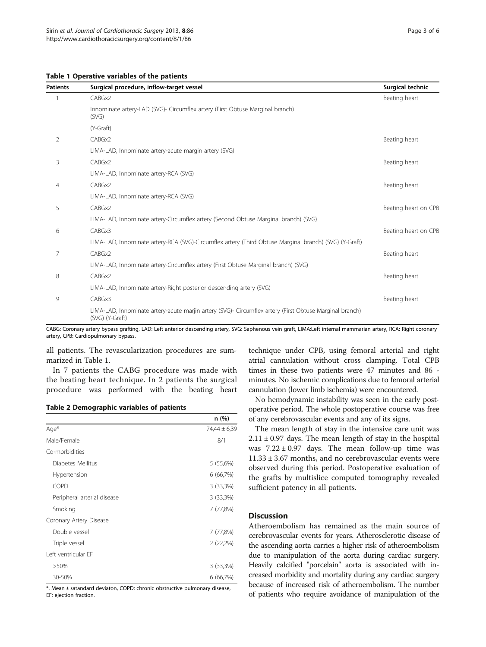<span id="page-2-0"></span>Table 1 Operative variables of the patients

| <b>Patients</b> | Surgical procedure, inflow-target vessel                                                                                   | Surgical technic     |
|-----------------|----------------------------------------------------------------------------------------------------------------------------|----------------------|
|                 | CABGx2                                                                                                                     | Beating heart        |
|                 | Innominate artery-LAD (SVG)- Circumflex artery (First Obtuse Marginal branch)<br>(SVG)                                     |                      |
|                 | (Y-Graft)                                                                                                                  |                      |
| 2               | CABGx2                                                                                                                     | Beating heart        |
|                 | LIMA-LAD, Innominate artery-acute margin artery (SVG)                                                                      |                      |
| 3               | CABGx2                                                                                                                     | Beating heart        |
|                 | LIMA-LAD, Innominate artery-RCA (SVG)                                                                                      |                      |
| 4               | CABGx2                                                                                                                     | Beating heart        |
|                 | LIMA-LAD, Innominate artery-RCA (SVG)                                                                                      |                      |
| 5               | CABGx2                                                                                                                     | Beating heart on CPB |
|                 | LIMA-LAD, Innominate artery-Circumflex artery (Second Obtuse Marginal branch) (SVG)                                        |                      |
| 6               | CABGx3                                                                                                                     | Beating heart on CPB |
|                 | LIMA-LAD, Innominate artery-RCA (SVG)-Circumflex artery (Third Obtuse Marginal branch) (SVG) (Y-Graft)                     |                      |
| 7               | CABGx2                                                                                                                     | Beating heart        |
|                 | LIMA-LAD, Innominate artery-Circumflex artery (First Obtuse Marginal branch) (SVG)                                         |                      |
| 8               | CABGx2                                                                                                                     | Beating heart        |
|                 | LIMA-LAD, Innominate artery-Right posterior descending artery (SVG)                                                        |                      |
| 9               | CABGx3                                                                                                                     | Beating heart        |
|                 | LIMA-LAD, Innominate artery-acute marjin artery (SVG)- Circumflex artery (First Obtuse Marginal branch)<br>(SVG) (Y-Graft) |                      |

CABG: Coronary artery bypass grafting, LAD: Left anterior descending artery, SVG: Saphenous vein graft, LIMA:Left internal mammarian artery, RCA: Right coronary artery, CPB: Cardiopulmonary bypass.

all patients. The revascularization procedures are summarized in Table 1.

In 7 patients the CABG procedure was made with the beating heart technique. In 2 patients the surgical procedure was performed with the beating heart

## Table 2 Demographic variables of patients

|                             | n (%)        |
|-----------------------------|--------------|
| Age*                        | 74,44 ± 6,39 |
| Male/Female                 | 8/1          |
| Co-morbidities              |              |
| Diabetes Mellitus           | 5 (55,6%)    |
| Hypertension                | 6 (66,7%)    |
| <b>COPD</b>                 | 3 (33,3%)    |
| Peripheral arterial disease | 3 (33,3%)    |
| Smoking                     | 7 (77,8%)    |
| Coronary Artery Disease     |              |
| Double vessel               | 7 (77,8%)    |
| Triple vessel               | 2 (22,2%)    |
| Left ventricular EF         |              |
| $>50\%$                     | 3 (33,3%)    |
| 30-50%                      | 6 (66,7%)    |

\*. Mean ± satandard deviaton, COPD: chronic obstructive pulmonary disease, EF: ejection fraction.

technique under CPB, using femoral arterial and right atrial cannulation without cross clamping. Total CPB times in these two patients were 47 minutes and 86 minutes. No ischemic complications due to femoral arterial cannulation (lower limb ischemia) were encountered.

No hemodynamic instability was seen in the early postoperative period. The whole postoperative course was free of any cerebrovascular events and any of its signs.

The mean length of stay in the intensive care unit was  $2.11 \pm 0.97$  days. The mean length of stay in the hospital was  $7.22 \pm 0.97$  days. The mean follow-up time was 11.33 ± 3.67 months, and no cerebrovascular events were observed during this period. Postoperative evaluation of the grafts by multislice computed tomography revealed sufficient patency in all patients.

## **Discussion**

Atheroembolism has remained as the main source of cerebrovascular events for years. Atherosclerotic disease of the ascending aorta carries a higher risk of atheroembolism due to manipulation of the aorta during cardiac surgery. Heavily calcified "porcelain" aorta is associated with increased morbidity and mortality during any cardiac surgery because of increased risk of atheroembolism. The number of patients who require avoidance of manipulation of the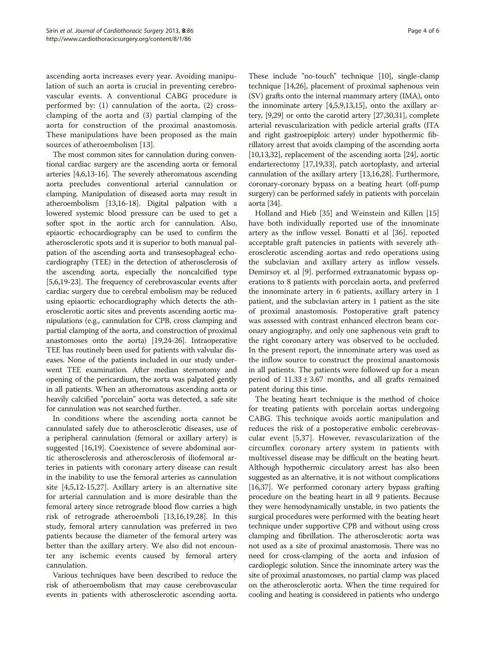ascending aorta increases every year. Avoiding manipulation of such an aorta is crucial in preventing cerebrovascular events. A conventional CABG procedure is performed by: (1) cannulation of the aorta, (2) crossclamping of the aorta and (3) partial clamping of the aorta for construction of the proximal anastomosis. These manipulations have been proposed as the main sources of atheroembolism [\[13](#page-4-0)].

The most common sites for cannulation during conventional cardiac surgery are the ascending aorta or femoral arteries [[4,6,13](#page-4-0)-[16](#page-4-0)]. The severely atheromatous ascending aorta precludes conventional arterial cannulation or clamping. Manipulation of diseased aorta may result in atheroembolism [[13,16-18\]](#page-4-0). Digital palpation with a lowered systemic blood pressure can be used to get a softer spot in the aortic arch for cannulation. Also, epiaortic echocardiography can be used to confirm the atherosclerotic spots and it is superior to both manual palpation of the ascending aorta and transesophageal echocardiography (TEE) in the detection of atherosclerosis of the ascending aorta, especially the noncalcified type [[5,6,19](#page-4-0)-[23](#page-4-0)]. The frequency of cerebrovascular events after cardiac surgery due to cerebral embolism may be reduced using epiaortic echocardiography which detects the atherosclerotic aortic sites and prevents ascending aortic manipulations (e.g., cannulation for CPB, cross clamping and partial clamping of the aorta, and construction of proximal anastomoses onto the aorta) [[19,24](#page-4-0)-[26](#page-5-0)]. Intraoperative TEE has routinely been used for patients with valvular diseases. None of the patients included in our study underwent TEE examination. After median sternotomy and opening of the pericardium, the aorta was palpated gently in all patients. When an atheromatous ascending aorta or heavily calcified "porcelain" aorta was detected, a safe site for cannulation was not searched further.

In conditions where the ascending aorta cannot be cannulated safely due to atherosclerotic diseases, use of a peripheral cannulation (femoral or axillary artery) is suggested [\[16,19\]](#page-4-0). Coexistence of severe abdominal aortic atherosclerosis and atherosclerosis of iliofemoral arteries in patients with coronary artery disease can result in the inability to use the femoral arteries as cannulation site [[4,5,12-15](#page-4-0)[,27\]](#page-5-0). Axillary artery is an alternative site for arterial cannulation and is more desirable than the femoral artery since retrograde blood flow carries a high risk of retrograde atheroemboli [[13,16,19](#page-4-0),[28](#page-5-0)]. In this study, femoral artery cannulation was preferred in two patients because the diameter of the femoral artery was better than the axillary artery. We also did not encounter any ischemic events caused by femoral artery cannulation.

Various techniques have been described to reduce the risk of atheroembolism that may cause cerebrovascular events in patients with atherosclerotic ascending aorta.

These include "no-touch" technique [\[10\]](#page-4-0), single-clamp technique [[14](#page-4-0)[,26](#page-5-0)], placement of proximal saphenous vein (SV) grafts onto the internal mammary artery (IMA), onto the innominate artery [[4,5,9,13,15\]](#page-4-0), onto the axillary artery, [\[9](#page-4-0)[,29\]](#page-5-0) or onto the carotid artery [[27,30,31\]](#page-5-0), complete arterial revascularization with pedicle arterial grafts (ITA and right gastroepiploic artery) under hypothermic fibrillatory arrest that avoids clamping of the ascending aorta [[10,13](#page-4-0)[,32\]](#page-5-0), replacement of the ascending aorta [[24](#page-4-0)], aortic endarterectomy [\[17,19,](#page-4-0)[33](#page-5-0)], patch aortoplasty, and arterial cannulation of the axillary artery [\[13,16](#page-4-0)[,28\]](#page-5-0). Furthermore, coronary-coronary bypass on a beating heart (off-pump surgery) can be performed safely in patients with porcelain aorta [[34](#page-5-0)].

Holland and Hieb [[35\]](#page-5-0) and Weinstein and Killen [[15](#page-4-0)] have both individually reported use of the innominate artery as the inflow vessel. Bonatti et al [\[36\]](#page-5-0). reported acceptable graft patencies in patients with severely atherosclerotic ascending aortas and redo operations using the subclavian and axillary artery as inflow vessels. Demirsoy et. al [[9\]](#page-4-0). performed extraanatomic bypass operations to 8 patients with porcelain aorta, and preferred the innominate artery in 6 patients, axillary artery in 1 patient, and the subclavian artery in 1 patient as the site of proximal anastomosis. Postoperative graft patency was assessed with contrast enhanced electron beam coronary angiography, and only one saphenous vein graft to the right coronary artery was observed to be occluded. In the present report, the innominate artery was used as the inflow source to construct the proximal anastomosis in all patients. The patients were followed up for a mean period of  $11.33 \pm 3.67$  months, and all grafts remained patent during this time.

The beating heart technique is the method of choice for treating patients with porcelain aortas undergoing CABG. This technique avoids aortic manipulation and reduces the risk of a postoperative embolic cerebrovascular event [[5](#page-4-0)[,37\]](#page-5-0). However, revascularization of the circumflex coronary artery system in patients with multivessel disease may be difficult on the beating heart. Although hypothermic circulatory arrest has also been suggested as an alternative, it is not without complications [[16](#page-4-0),[37](#page-5-0)]. We performed coronary artery bypass grafting procedure on the beating heart in all 9 patients. Because they were hemodynamically unstable, in two patients the surgical procedures were performed with the beating heart technique under supportive CPB and without using cross clamping and fibrillation. The atherosclerotic aorta was not used as a site of proximal anastomosis. There was no need for cross-clamping of the aorta and infusion of cardioplegic solution. Since the innominate artery was the site of proximal anastomoses, no partial clamp was placed on the atherosclerotic aorta. When the time required for cooling and heating is considered in patients who undergo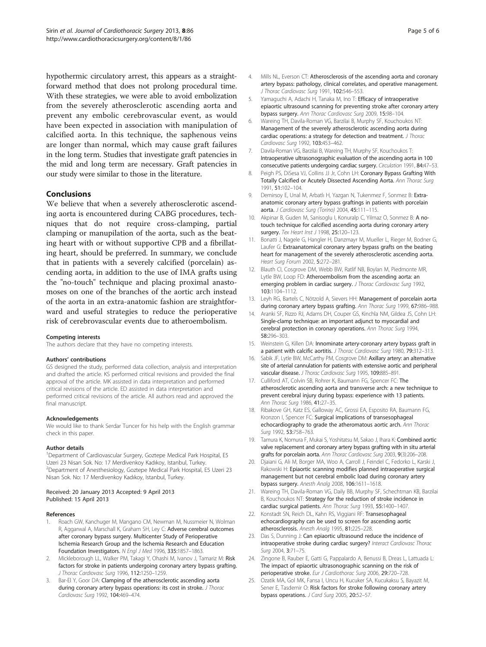<span id="page-4-0"></span>hypothermic circulatory arrest, this appears as a straightforward method that does not prolong procedural time. With these strategies, we were able to avoid embolization from the severely atherosclerotic ascending aorta and prevent any embolic cerebrovascular event, as would have been expected in association with manipulation of calcified aorta. In this technique, the saphenous veins are longer than normal, which may cause graft failures in the long term. Studies that investigate graft patencies in the mid and long term are necessary. Graft patencies in our study were similar to those in the literature.

## Conclusions

We believe that when a severely atherosclerotic ascending aorta is encountered during CABG procedures, techniques that do not require cross-clamping, partial clamping or manupilation of the aorta, such as the beating heart with or without supportive CPB and a fibrillating heart, should be preferred. In summary, we conclude that in patients with a severely calcified (porcelain) ascending aorta, in addition to the use of IMA grafts using the "no-touch" technique and placing proximal anastomoses on one of the branches of the aortic arch instead of the aorta in an extra-anatomic fashion are straightforward and useful strategies to reduce the perioperative risk of cerebrovascular events due to atheroembolism.

#### Competing interests

The authors declare that they have no competing interests.

#### Authors' contributions

GS designed the study, performed data collection, analysis and interpretation and drafted the article. KS performed critical revisions and provided the final approval of the article. MK assisted in data interpretation and performed critical revisions of the article. ED assisted in data interpretation and performed critical revisions of the article. All authors read and approved the final manuscript.

#### Acknowledgements

We would like to thank Serdar Tuncer for his help with the English grammar check in this paper.

#### Author details

<sup>1</sup>Department of Cardiovascular Surgery, Goztepe Medical Park Hospital, E5 Uzeri 23 Nisan Sok. No: 17 Merdivenkoy Kadıkoy, Istanbul, Turkey. <sup>2</sup> <sup>2</sup>Department of Anesthesiology, Goztepe Medical Park Hospital, E5 Uzeri 23 Nisan Sok. No: 17 Merdivenkoy Kadıkoy, Istanbul, Turkey.

#### Received: 20 January 2013 Accepted: 9 April 2013 Published: 15 April 2013

#### References

- 1. Roach GW, Kanchuger M, Mangano CM, Newman M, Nussmeier N, Wolman R, Aggarwal A, Marschall K, Graham SH, Ley C: Adverse cerebral outcomes after coronary bypass surgery. Multicenter Study of Perioperative Ischemia Research Group and the Ischemia Research and Education Foundation Investigators. N Engl J Med 1996, 335:1857–1863.
- Mickleborough LL, Walker PM, Takagi Y, Ohashi M, Ivanov J, Tamariz M: Risk factors for stroke in patients undergoing coronary artery bypass grafting. J Thorac Cardiovasc Surg 1996, 112:1250–1259.
- 3. Bar-El Y, Goor DA: Clamping of the atherosclerotic ascending aorta during coronary artery bypass operations: its cost in stroke. J Thorac Cardiovasc Surg 1992, 104:469–474.
- 4. Mills NL, Everson CT: Atherosclerosis of the ascending aorta and coronary artery bypass: pathology, clinical correlates, and operative management. J Thorac Cardiovasc Surg 1991, 102:546–553.
- Yamaguchi A, Adachi H, Tanaka M, Ino T: Efficacy of intraoperative epiaortic ultrasound scanning for preventing stroke after coronary artery bypass surgery. Ann Thorac Cardiovasc Surg 2009, 15:98–104.
- 6. Wareing TH, Davila-Roman VG, Barzilai B, Murphy SF, Kouchoukos NT: Management of the severely atherosclerotic ascending aorta during cardiac operations: a strategy for detection and treatment. J Thorac Cardiovasc Surg 1992, 103:453–462.
- 7. Davila-Roman VG, Barzilai B, Wareing TH, Murphy SF, Kouchoukos T: Intraoperative ultrasonographic evaluation of the ascending aorta in 100 consecutive patients undergoing cardiac surgery. Circulation 1991, 84:47–53.
- 8. Peigh PS, DiSesa VJ, Collins JJ Jr, Cohn LH: Coronary Bypass Grafting With Totally Calcified or Acutely Dissected Ascending Aorta. Ann Thorac Surg 1991, 51:102–104.
- 9. Demirsoy E, Unal M, Arbatlı H, Yazgan N, Tukenmez F, Sonmez B: Extraanatomic coronary artery bypass graftings in patients with porcelain aorta. J Cardiovasc Surg (Torino) 2004, 45:111–115.
- 10. Akpinar B, Guden M, Sanisoglu I, Konuralp C, Yilmaz O, Sonmez B: A notouch technique for calcified ascending aorta during coronary artery surgery. Tex Heart Inst J 1998, 25:120-123.
- 11. Bonatti J, Nagele G, Hangler H, Danzmayr M, Mueller L, Rieger M, Bodner G, Laufer G: Extraanatomical coronary artery bypass grafts on the beating heart for management of the severely atherosclerotic ascending aorta. Heart Surg Forum 2002, 5:272–281.
- 12. Blauth CI, Cosgrove DM, Webb BW, Ratlif NB, Boylan M, Piedmonte MR, Lytle BW, Loop FD: Atheroembolism from the ascending aorta: an emerging problem in cardiac surgery. J Thorac Cardiovasc Surg 1992, 103:1104–1112.
- 13. Leyh RG, Bartels C, Nötzold A, Sievers HH: Management of porcelain aorta during coronary artery bypass grafting. Ann Thorac Surg 1999, 67:986-988.
- 14. Aranki SF, Rizzo RJ, Adams DH, Couper GS, Kinchla NM, Gildea JS, Cohn LH: Single-clamp technique: an important adjunct to myocardial and cerebral protection in coronary operations. Ann Thorac Surg 1994, 58:296–303.
- 15. Weinstein G, Killen DA: Innominate artery-coronary artery bypass graft in a patient with calcific aortitis. J Thorac Cardiovasc Surg 1980, 79:312–313.
- 16. Sabik JF, Lytle BW, McCarthy PM, Cosgrove DM: Axillary artery: an alternative site of arterial cannulation for patients with extensive aortic and peripheral vascular disease. J Thorac Cardiovasc Surg 1995, 109:885–891.
- 17. Culliford AT, Colvin SB, Rohrer K, Baumann FG, Spencer FC: The atherosclerotic ascending aorta and transverse arch: a new technique to prevent cerebral injury during bypass: experience with 13 patients. Ann Thorac Surg 1986, 41:27–35.
- 18. Ribakove GH, Katz ES, Galloway AC, Grossi EA, Esposito RA, Baumann FG, Kronzon I, Spencer FC: Surgical implications of transesophageal echocardiography to grade the atheromatous aortic arch. Ann Thorac Surg 1992, 53:758–763.
- 19. Tamura K, Nomura F, Mukai S, Yoshitatsu M, Sakao J, Ihara K: Combined aortic valve replacement and coronary artery bypass grafting with in situ arterial grafts for porcelain aorta. Ann Thorac Cardiovasc Surg 2003, 9(3):206–208.
- 20. Djaiani G, Ali M, Borger MA, Woo A, Carroll J, Feindel C, Fedorko L, Karski J, Rakowski H: Epiaortic scanning modifies planned intraoperative surgical management but not cerebral embolic load during coronary artery bypass surgery. Anesth Analg 2008, 106:1611–1618.
- 21. Wareing TH, Davila-Roman VG, Daily BB, Murphy SF, Schechtman KB, Barzilai B, Kouchoukos NT: Strategy for the reduction of stroke incidence in cardiac surgical patients. Ann Thorac Surg 1993, 55:1400–1407.
- 22. Konstadt SN, Reich DL, Kahn RS, Viggiani RF: Transesophageal echocardiography can be used to screen for ascending aortic atherosclerosis. Anesth Analg 1995, 81:225–228.
- 23. Das S, Dunning J: Can epiaortic ultrasound reduce the incidence of intraoperative stroke during cardiac surgery? Interact Cardiovasc Thorac Surg 2004, 3:71–75.
- 24. Zingone B, Rauber E, Gatti G, Pappalardo A, Benussi B, Dreas L, Lattuada L: The impact of epiaortic ultrasonographic scanning on the risk of perioperative stroke. Eur J Cardiothorac Surg 2006, 29:720-728.
- 25. Ozatik MA, Gol MK, Fansa I, Uncu H, Kucuker SA, Kucukaksu S, Bayazit M, Sener E, Tasdemir O: Risk factors for stroke following coronary artery bypass operations. J Card Surg 2005, 20:52–57.